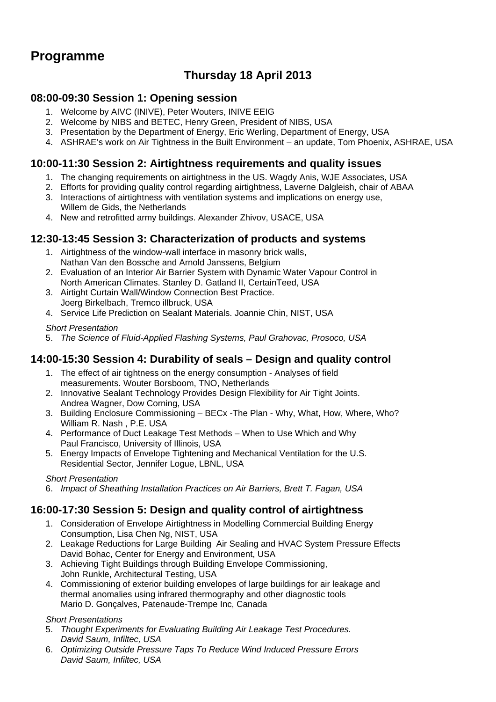# **Programme**

## **Thursday 18 April 2013**

### **08:00-09:30 Session 1: Opening session**

- 1. Welcome by AIVC (INIVE), Peter Wouters, INIVE EEIG
- 2. Welcome by NIBS and BETEC, Henry Green, President of NIBS, USA
- 3. Presentation by the Department of Energy, Eric Werling, Department of Energy, USA
- 4. ASHRAE's work on Air Tightness in the Built Environment an update, Tom Phoenix, ASHRAE, USA

#### **10:00-11:30 Session 2: Airtightness requirements and quality issues**

- 1. The changing requirements on airtightness in the US. Wagdy Anis, WJE Associates, USA
- 2. Efforts for providing quality control regarding airtightness, Laverne Dalgleish, chair of ABAA
- 3. Interactions of airtightness with ventilation systems and implications on energy use, Willem de Gids, the Netherlands
- 4. New and retrofitted army buildings. Alexander Zhivov, USACE, USA

## **12:30-13:45 Session 3: Characterization of products and systems**

- 1. Airtightness of the window-wall interface in masonry brick walls, Nathan Van den Bossche and Arnold Janssens, Belgium
- 2. Evaluation of an Interior Air Barrier System with Dynamic Water Vapour Control in North American Climates. Stanley D. Gatland II, CertainTeed, USA
- 3. Airtight Curtain Wall/Window Connection Best Practice. Joerg Birkelbach, Tremco illbruck, USA
- 4. Service Life Prediction on Sealant Materials. Joannie Chin, NIST, USA

#### *Short Presentation*

5. *The Science of Fluid-Applied Flashing Systems, Paul Grahovac, Prosoco, USA* 

### **14:00-15:30 Session 4: Durability of seals – Design and quality control**

- 1. The effect of air tightness on the energy consumption Analyses of field measurements. Wouter Borsboom, TNO, Netherlands
- 2. Innovative Sealant Technology Provides Design Flexibility for Air Tight Joints. Andrea Wagner, Dow Corning, USA
- 3. Building Enclosure Commissioning BECx -The Plan Why, What, How, Where, Who? William R. Nash , P.E. USA
- 4. Performance of Duct Leakage Test Methods When to Use Which and Why Paul Francisco, University of Illinois, USA
- 5. Energy Impacts of Envelope Tightening and Mechanical Ventilation for the U.S. Residential Sector, Jennifer Logue, LBNL, USA

#### *Short Presentation*

6. *Impact of Sheathing Installation Practices on Air Barriers, Brett T. Fagan, USA* 

### **16:00-17:30 Session 5: Design and quality control of airtightness**

- 1. Consideration of Envelope Airtightness in Modelling Commercial Building Energy Consumption, Lisa Chen Ng, NIST, USA
- 2. Leakage Reductions for Large Building Air Sealing and HVAC System Pressure Effects David Bohac, Center for Energy and Environment, USA
- 3. Achieving Tight Buildings through Building Envelope Commissioning, John Runkle, Architectural Testing, USA
- 4. Commissioning of exterior building envelopes of large buildings for air leakage and thermal anomalies using infrared thermography and other diagnostic tools Mario D. Gonçalves, Patenaude-Trempe Inc, Canada

#### *Short Presentations*

- 5. *Thought Experiments for Evaluating Building Air Leakage Test Procedures. David Saum, Infiltec, USA*
- 6. *Optimizing Outside Pressure Taps To Reduce Wind Induced Pressure Errors David Saum, Infiltec, USA*